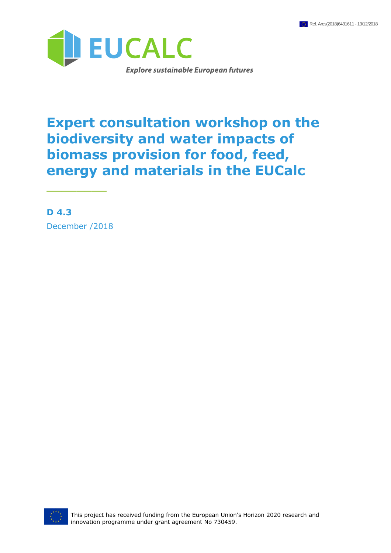

# **Expert consultation workshop on the biodiversity and water impacts of biomass provision for food, feed, energy and materials in the EUCalc**

**D 4.3** December /2018

\_\_\_\_\_\_\_\_

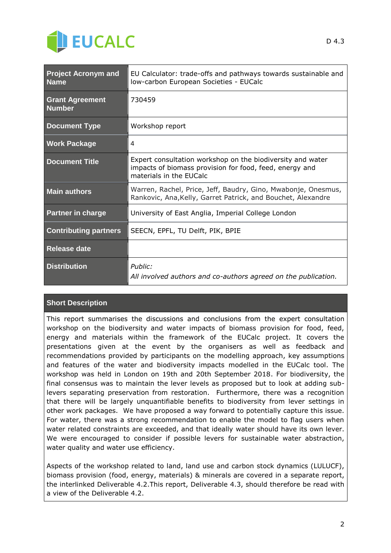

| <b>Project Acronym and</b><br><b>Name</b> | EU Calculator: trade-offs and pathways towards sustainable and<br>Iow-carbon European Societies - EUCalc                                         |  |
|-------------------------------------------|--------------------------------------------------------------------------------------------------------------------------------------------------|--|
| <b>Grant Agreement</b><br><b>Number</b>   | 730459                                                                                                                                           |  |
| <b>Document Type</b>                      | Workshop report                                                                                                                                  |  |
| <b>Work Package</b>                       | 4                                                                                                                                                |  |
| <b>Document Title</b>                     | Expert consultation workshop on the biodiversity and water<br>impacts of biomass provision for food, feed, energy and<br>materials in the EUCalc |  |
| <b>Main authors</b>                       | Warren, Rachel, Price, Jeff, Baudry, Gino, Mwabonje, Onesmus,<br>Rankovic, Ana, Kelly, Garret Patrick, and Bouchet, Alexandre                    |  |
| <b>Partner in charge</b>                  | University of East Anglia, Imperial College London                                                                                               |  |
| <b>Contributing partners</b>              | SEECN, EPFL, TU Delft, PIK, BPIE                                                                                                                 |  |
| Release date                              |                                                                                                                                                  |  |
| <b>Distribution</b>                       | Public:<br>All involved authors and co-authors agreed on the publication.                                                                        |  |

#### **Short Description**

This report summarises the discussions and conclusions from the expert consultation workshop on the biodiversity and water impacts of biomass provision for food, feed, energy and materials within the framework of the EUCalc project. It covers the presentations given at the event by the organisers as well as feedback and recommendations provided by participants on the modelling approach, key assumptions and features of the water and biodiversity impacts modelled in the EUCalc tool. The workshop was held in London on 19th and 20th September 2018. For biodiversity, the final consensus was to maintain the lever levels as proposed but to look at adding sublevers separating preservation from restoration. Furthermore, there was a recognition that there will be largely unquantifiable benefits to biodiversity from lever settings in other work packages. We have proposed a way forward to potentially capture this issue. For water, there was a strong recommendation to enable the model to flag users when water related constraints are exceeded, and that ideally water should have its own lever. We were encouraged to consider if possible levers for sustainable water abstraction, water quality and water use efficiency.

Aspects of the workshop related to land, land use and carbon stock dynamics (LULUCF), biomass provision (food, energy, materials) & minerals are covered in a separate report, the interlinked Deliverable 4.2.This report, Deliverable 4.3, should therefore be read with a view of the Deliverable 4.2.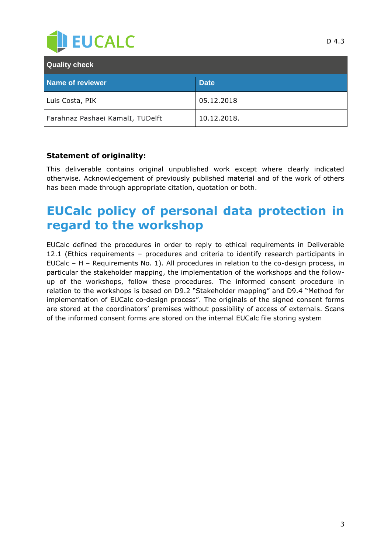

| <b>Quality check</b>             |             |  |
|----------------------------------|-------------|--|
| <b>Name of reviewer</b>          | <b>Date</b> |  |
| Luis Costa, PIK                  | 05.12.2018  |  |
| Farahnaz Pashaei KamalI, TUDelft | 10.12.2018. |  |

#### **Statement of originality:**

This deliverable contains original unpublished work except where clearly indicated otherwise. Acknowledgement of previously published material and of the work of others has been made through appropriate citation, quotation or both.

## <span id="page-2-0"></span>**EUCalc policy of personal data protection in regard to the workshop**

EUCalc defined the procedures in order to reply to ethical requirements in Deliverable 12.1 (Ethics requirements – procedures and criteria to identify research participants in EUCalc – H – Requirements No. 1). All procedures in relation to the co-design process, in particular the stakeholder mapping, the implementation of the workshops and the followup of the workshops, follow these procedures. The informed consent procedure in relation to the workshops is based on D9.2 "Stakeholder mapping" and D9.4 "Method for implementation of EUCalc co-design process". The originals of the signed consent forms are stored at the coordinators' premises without possibility of access of externals. Scans of the informed consent forms are stored on the internal EUCalc file storing system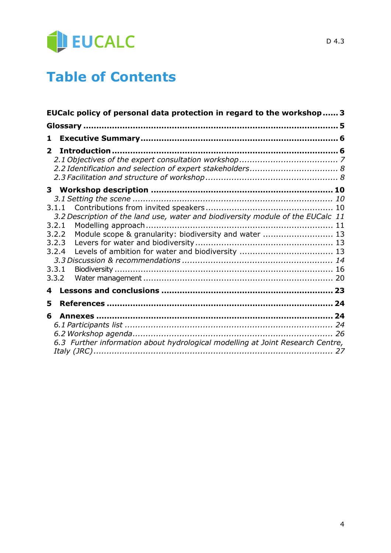

# **Table of Contents**

| EUCalc policy of personal data protection in regard to the workshop 3                                                                                                                                    |  |
|----------------------------------------------------------------------------------------------------------------------------------------------------------------------------------------------------------|--|
|                                                                                                                                                                                                          |  |
| 1                                                                                                                                                                                                        |  |
| $\mathbf{2}$                                                                                                                                                                                             |  |
|                                                                                                                                                                                                          |  |
| 3.1.1<br>3.2 Description of the land use, water and biodiversity module of the EUCalc 11<br>3.2.1<br>Module scope & granularity: biodiversity and water  13<br>3.2.2<br>3.2.3<br>3.2.4<br>3.3.1<br>3.3.2 |  |
| 4                                                                                                                                                                                                        |  |
| 5                                                                                                                                                                                                        |  |
| 6<br>6.3 Further information about hydrological modelling at Joint Research Centre,                                                                                                                      |  |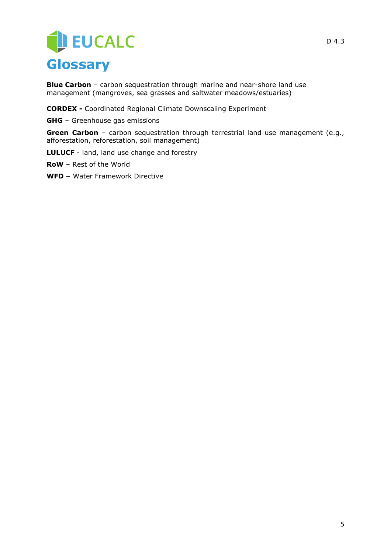# EUCALC **Glossary**

<span id="page-4-0"></span>**Blue Carbon** – carbon sequestration through marine and near-shore land use management (mangroves, sea grasses and saltwater meadows/estuaries)

**CORDEX -** Coordinated Regional Climate Downscaling Experiment

**GHG** – Greenhouse gas emissions

**Green Carbon** – carbon sequestration through terrestrial land use management (e.g., afforestation, reforestation, soil management)

**LULUCF** - land, land use change and forestry

**RoW** – Rest of the World

**WFD –** Water Framework Directive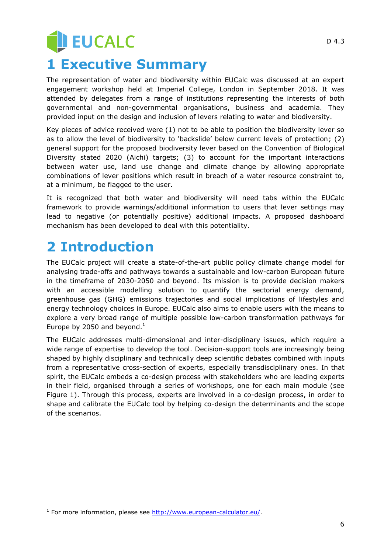# **JEUCALC 1 Executive Summary**

<span id="page-5-0"></span>The representation of water and biodiversity within EUCalc was discussed at an expert engagement workshop held at Imperial College, London in September 2018. It was attended by delegates from a range of institutions representing the interests of both governmental and non-governmental organisations, business and academia. They provided input on the design and inclusion of levers relating to water and biodiversity.

Key pieces of advice received were (1) not to be able to position the biodiversity lever so as to allow the level of biodiversity to "backslide" below current levels of protection; (2) general support for the proposed biodiversity lever based on the Convention of Biological Diversity stated 2020 (Aichi) targets; (3) to account for the important interactions between water use, land use change and climate change by allowing appropriate combinations of lever positions which result in breach of a water resource constraint to, at a minimum, be flagged to the user.

It is recognized that both water and biodiversity will need tabs within the EUCalc framework to provide warnings/additional information to users that lever settings may lead to negative (or potentially positive) additional impacts. A proposed dashboard mechanism has been developed to deal with this potentiality.

# <span id="page-5-1"></span>**2 Introduction**

-

The EUCalc project will create a state-of-the-art public policy climate change model for analysing trade-offs and pathways towards a sustainable and low-carbon European future in the timeframe of 2030-2050 and beyond. Its mission is to provide decision makers with an accessible modelling solution to quantify the sectorial energy demand, greenhouse gas (GHG) emissions trajectories and social implications of lifestyles and energy technology choices in Europe. EUCalc also aims to enable users with the means to explore a very broad range of multiple possible low-carbon transformation pathways for Europe by 2050 and beyond. $<sup>1</sup>$ </sup>

The EUCalc addresses multi-dimensional and inter-disciplinary issues, which require a wide range of expertise to develop the tool. Decision-support tools are increasingly being shaped by highly disciplinary and technically deep scientific debates combined with inputs from a representative cross-section of experts, especially transdisciplinary ones. In that spirit, the EUCalc embeds a co-design process with stakeholders who are leading experts in their field, organised through a series of workshops, one for each main module (see Figure 1). Through this process, experts are involved in a co-design process, in order to shape and calibrate the EUCalc tool by helping co-design the determinants and the scope of the scenarios.

<sup>&</sup>lt;sup>1</sup> For more information, please see [http://www.european-calculator.eu/.](http://www.european-calculator.eu/)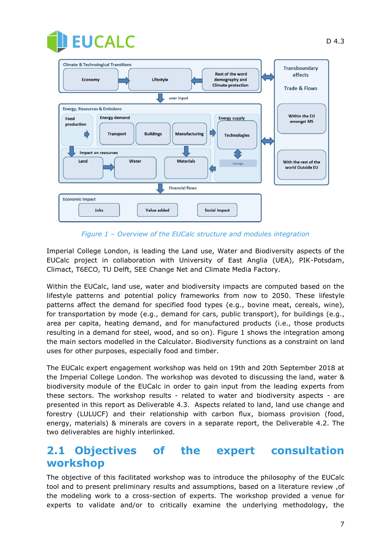



*Figure 1 – Overview of the EUCalc structure and modules integration*

Imperial College London, is leading the Land use, Water and Biodiversity aspects of the EUCalc project in collaboration with University of East Anglia (UEA), PIK-Potsdam, Climact, T6ECO, TU Delft, SEE Change Net and Climate Media Factory.

Within the EUCalc, land use, water and biodiversity impacts are computed based on the lifestyle patterns and potential policy frameworks from now to 2050. These lifestyle patterns affect the demand for specified food types (e.g., bovine meat, cereals, wine), for transportation by mode (e.g., demand for cars, public transport), for buildings (e.g., area per capita, heating demand, and for manufactured products (i.e., those products resulting in a demand for steel, wood, and so on). Figure 1 shows the integration among the main sectors modelled in the Calculator. Biodiversity functions as a constraint on land uses for other purposes, especially food and timber.

The EUCalc expert engagement workshop was held on 19th and 20th September 2018 at the Imperial College London. The workshop was devoted to discussing the land, water & biodiversity module of the EUCalc in order to gain input from the leading experts from these sectors. The workshop results - related to water and biodiversity aspects - are presented in this report as Deliverable 4.3. Aspects related to land, land use change and forestry (LULUCF) and their relationship with carbon flux, biomass provision (food, energy, materials) & minerals are covers in a separate report, the Deliverable 4.2. The two deliverables are highly interlinked.

## <span id="page-6-0"></span>**2.1 Objectives of the expert consultation workshop**

The objective of this facilitated workshop was to introduce the philosophy of the EUCalc tool and to present preliminary results and assumptions, based on a literature review ,of the modeling work to a cross-section of experts. The workshop provided a venue for experts to validate and/or to critically examine the underlying methodology, the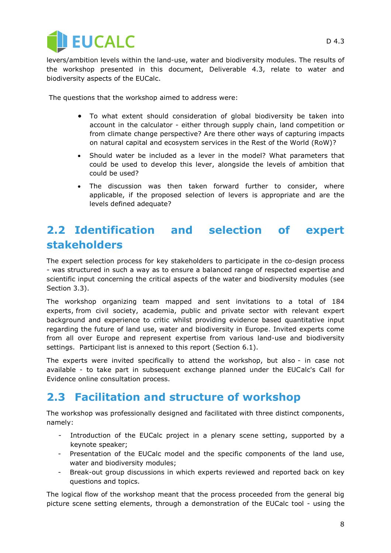

levers/ambition levels within the land-use, water and biodiversity modules. The results of the workshop presented in this document, Deliverable 4.3, relate to water and biodiversity aspects of the EUCalc.

The questions that the workshop aimed to address were:

- To what extent should consideration of global biodiversity be taken into account in the calculator - either through supply chain, land competition or from climate change perspective? Are there other ways of capturing impacts on natural capital and ecosystem services in the Rest of the World (RoW)?
- Should water be included as a lever in the model? What parameters that could be used to develop this lever, alongside the levels of ambition that could be used?
- The discussion was then taken forward further to consider, where applicable, if the proposed selection of levers is appropriate and are the levels defined adequate?

## <span id="page-7-0"></span>**2.2 Identification and selection of expert stakeholders**

The expert selection process for key stakeholders to participate in the co-design process - was structured in such a way as to ensure a balanced range of respected expertise and scientific input concerning the critical aspects of the water and biodiversity modules (see Section 3.3).

The workshop organizing team mapped and sent invitations to a total of 184 experts, from civil society, academia, public and private sector with relevant expert background and experience to critic whilst providing evidence based quantitative input regarding the future of land use, water and biodiversity in Europe. Invited experts come from all over Europe and represent expertise from various land-use and biodiversity settings. Participant list is annexed to this report (Section 6.1).

The experts were invited specifically to attend the workshop, but also - in case not available - to take part in subsequent exchange planned under the EUCalc's Call for Evidence online consultation process.

## <span id="page-7-1"></span>**2.3 Facilitation and structure of workshop**

The workshop was professionally designed and facilitated with three distinct components, namely:

- Introduction of the EUCalc project in a plenary scene setting, supported by a keynote speaker;
- Presentation of the EUCalc model and the specific components of the land use, water and biodiversity modules;
- Break-out group discussions in which experts reviewed and reported back on key questions and topics.

The logical flow of the workshop meant that the process proceeded from the general big picture scene setting elements, through a demonstration of the EUCalc tool - using the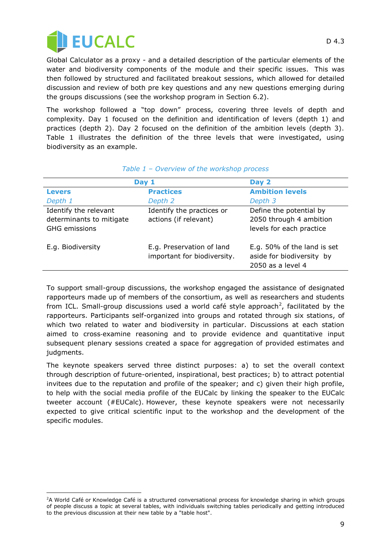

j

Global Calculator as a proxy - and a detailed description of the particular elements of the water and biodiversity components of the module and their specific issues. This was then followed by structured and facilitated breakout sessions, which allowed for detailed discussion and review of both pre key questions and any new questions emerging during the groups discussions (see the workshop program in Section 6.2).

The workshop followed a "top down" process, covering three levels of depth and complexity. Day 1 focused on the definition and identification of levers (depth 1) and practices (depth 2). Day 2 focused on the definition of the ambition levels (depth 3). Table 1 illustrates the definition of the three levels that were investigated, using biodiversity as an example.

| Day 1                    |                             | Day 2                       |
|--------------------------|-----------------------------|-----------------------------|
| <b>Levers</b>            | <b>Practices</b>            | <b>Ambition levels</b>      |
| Depth 1                  | Depth 2                     | Depth 3                     |
| Identify the relevant    | Identify the practices or   | Define the potential by     |
| determinants to mitigate | actions (if relevant)       | 2050 through 4 ambition     |
| <b>GHG</b> emissions     |                             | levels for each practice    |
| E.g. Biodiversity        | E.g. Preservation of land   | E.g. 50% of the land is set |
|                          | important for biodiversity. | aside for biodiversity by   |
|                          |                             | 2050 as a level 4           |

#### *Table 1 – Overview of the workshop process*

To support small-group discussions, the workshop engaged the assistance of designated rapporteurs made up of members of the consortium, as well as researchers and students from ICL. Small-group discussions used a world café style approach<sup>2</sup>, facilitated by the rapporteurs. Participants self-organized into groups and rotated through six stations, of which two related to water and biodiversity in particular. Discussions at each station aimed to cross‐examine reasoning and to provide evidence and quantitative input subsequent plenary sessions created a space for aggregation of provided estimates and judgments.

The keynote speakers served three distinct purposes: a) to set the overall context through description of future-oriented, inspirational, best practices; b) to attract potential invitees due to the reputation and profile of the speaker; and c) given their high profile, to help with the social media profile of the EUCalc by linking the speaker to the EUCalc tweeter account (#EUCalc). However, these keynote speakers were not necessarily expected to give critical scientific input to the workshop and the development of the specific modules.

<sup>&</sup>lt;sup>2</sup>A World Café or Knowledge Café is a structured conversational process for [knowledge sharing](https://en.wikipedia.org/wiki/Knowledge_sharing) in which groups of people discuss a topic at several tables, with individuals switching tables periodically and getting introduced to the previous discussion at their new table by a "table host".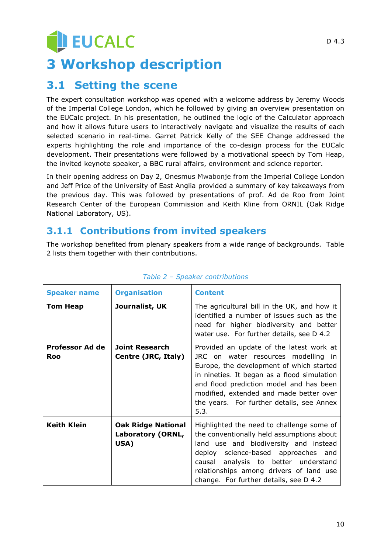# **JEUCALC 3 Workshop description**

## <span id="page-9-1"></span><span id="page-9-0"></span>**3.1 Setting the scene**

The expert consultation workshop was opened with a welcome address by Jeremy Woods of the Imperial College London, which he followed by giving an overview presentation on the EUCalc project. In his presentation, he outlined the logic of the Calculator approach and how it allows future users to interactively navigate and visualize the results of each selected scenario in real-time. Garret Patrick Kelly of the SEE Change addressed the experts highlighting the role and importance of the co-design process for the EUCalc development. Their presentations were followed by a motivational speech by Tom Heap, the invited keynote speaker, a BBC rural affairs, environment and science reporter.

In their opening address on Day 2, Onesmus Mwabonje from the Imperial College London and Jeff Price of the University of East Anglia provided a summary of key takeaways from the previous day. This was followed by presentations of prof. Ad de Roo from Joint Research Center of the European Commission and Keith Kline from ORNIL (Oak Ridge National Laboratory, US).

## <span id="page-9-2"></span>**3.1.1 Contributions from invited speakers**

The workshop benefited from plenary speakers from a wide range of backgrounds. Table 2 lists them together with their contributions.

| <b>Speaker name</b>    | <b>Organisation</b>                                    | <b>Content</b>                                                                                                                                                                                                                                                                                                        |
|------------------------|--------------------------------------------------------|-----------------------------------------------------------------------------------------------------------------------------------------------------------------------------------------------------------------------------------------------------------------------------------------------------------------------|
| <b>Tom Heap</b>        | Journalist, UK                                         | The agricultural bill in the UK, and how it<br>identified a number of issues such as the<br>need for higher biodiversity and better<br>water use. For further details, see D 4.2                                                                                                                                      |
| Professor Ad de<br>Roo | Joint Research<br>Centre (JRC, Italy)                  | Provided an update of the latest work at<br>JRC on water resources modelling in<br>Europe, the development of which started<br>in nineties. It began as a flood simulation<br>and flood prediction model and has been<br>modified, extended and made better over<br>the years. For further details, see Annex<br>5.3. |
| <b>Keith Klein</b>     | <b>Oak Ridge National</b><br>Laboratory (ORNL,<br>USA) | Highlighted the need to challenge some of<br>the conventionally held assumptions about<br>land use and biodiversity and instead<br>deploy science-based approaches and<br>causal analysis to better understand<br>relationships among drivers of land use<br>change. For further details, see D 4.2                   |

#### *Table 2 – Speaker contributions*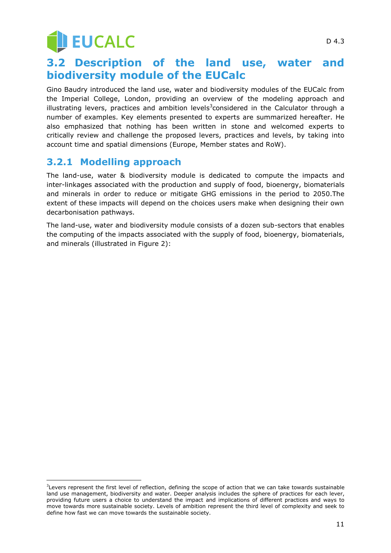**JEUCALC** 

## <span id="page-10-0"></span>**3.2 Description of the land use, water and biodiversity module of the EUCalc**

Gino Baudry introduced the land use, water and biodiversity modules of the EUCalc from the Imperial College, London, providing an overview of the modeling approach and illustrating levers, practices and ambition levels<sup>3</sup>considered in the Calculator through a number of examples. Key elements presented to experts are summarized hereafter. He also emphasized that nothing has been written in stone and welcomed experts to critically review and challenge the proposed levers, practices and levels, by taking into account time and spatial dimensions (Europe, Member states and RoW).

## <span id="page-10-1"></span>**3.2.1 Modelling approach**

 $\overline{a}$ 

The land-use, water & biodiversity module is dedicated to compute the impacts and inter-linkages associated with the production and supply of food, bioenergy, biomaterials and minerals in order to reduce or mitigate GHG emissions in the period to 2050.The extent of these impacts will depend on the choices users make when designing their own decarbonisation pathways.

The land-use, water and biodiversity module consists of a dozen sub-sectors that enables the computing of the impacts associated with the supply of food, bioenergy, biomaterials, and minerals (illustrated in Figure 2):

<sup>&</sup>lt;sup>3</sup>Levers represent the first level of reflection, defining the scope of action that we can take towards sustainable land use management, biodiversity and water. Deeper analysis includes the sphere of practices for each lever, providing future users a choice to understand the impact and implications of different practices and ways to move towards more sustainable society. Levels of ambition represent the third level of complexity and seek to define how fast we can move towards the sustainable society.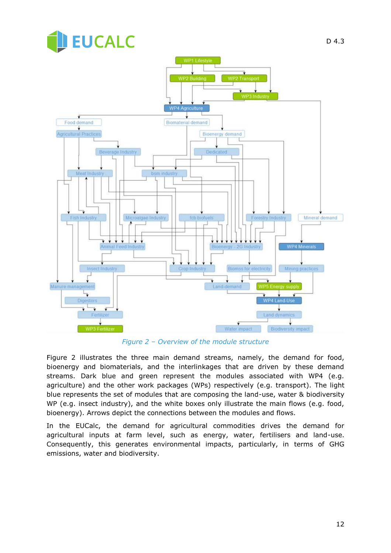

*Figure 2 – Overview of the module structure*

Figure 2 illustrates the three main demand streams, namely, the demand for food, bioenergy and biomaterials, and the interlinkages that are driven by these demand streams. Dark blue and green represent the modules associated with WP4 (e.g. agriculture) and the other work packages (WPs) respectively (e.g. transport). The light blue represents the set of modules that are composing the land-use, water & biodiversity WP (e.g. insect industry), and the white boxes only illustrate the main flows (e.g. food, bioenergy). Arrows depict the connections between the modules and flows.

In the EUCalc, the demand for agricultural commodities drives the demand for agricultural inputs at farm level, such as energy, water, fertilisers and land-use. Consequently, this generates environmental impacts, particularly, in terms of GHG emissions, water and biodiversity.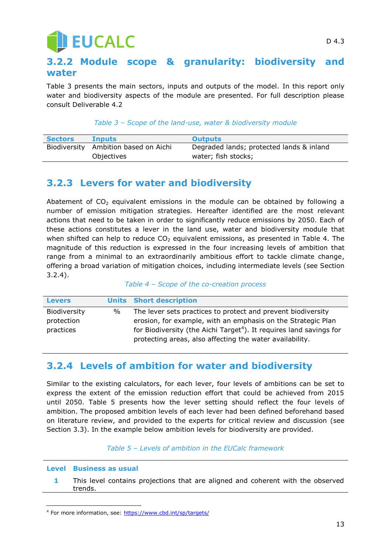# **JEUCALC**

### <span id="page-12-0"></span>**3.2.2 Module scope & granularity: biodiversity and water**

Table 3 presents the main sectors, inputs and outputs of the model. In this report only water and biodiversity aspects of the module are presented. For full description please consult Deliverable 4.2

#### *Table 3 – Scope of the land-use, water & biodiversity module*

| <b>Sectors</b> | <b>Inputs</b>                        | <b>Outputs</b>                           |
|----------------|--------------------------------------|------------------------------------------|
|                | Biodiversity Ambition based on Aichi | Degraded lands; protected lands & inland |
|                | Objectives                           | water; fish stocks;                      |

### <span id="page-12-1"></span>**3.2.3 Levers for water and biodiversity**

Abatement of  $CO<sub>2</sub>$  equivalent emissions in the module can be obtained by following a number of emission mitigation strategies. Hereafter identified are the most relevant actions that need to be taken in order to significantly reduce emissions by 2050. Each of these actions constitutes a lever in the land use, water and biodiversity module that when shifted can help to reduce  $CO<sub>2</sub>$  equivalent emissions, as presented in Table 4. The magnitude of this reduction is expressed in the four increasing levels of ambition that range from a minimal to an extraordinarily ambitious effort to tackle climate change, offering a broad variation of mitigation choices, including intermediate levels (see Section 3.2.4).

#### *Table 4 – Scope of the co-creation process*

| <b>Levers</b> |      | <b>Units</b> Short description                                                  |
|---------------|------|---------------------------------------------------------------------------------|
| Biodiversity  | $\%$ | The lever sets practices to protect and prevent biodiversity                    |
| protection    |      | erosion, for example, with an emphasis on the Strategic Plan                    |
| practices     |      | for Biodiversity (the Aichi Target <sup>4</sup> ). It requires land savings for |
|               |      | protecting areas, also affecting the water availability.                        |

### <span id="page-12-2"></span>**3.2.4 Levels of ambition for water and biodiversity**

Similar to the existing calculators, for each lever, four levels of ambitions can be set to express the extent of the emission reduction effort that could be achieved from 2015 until 2050. Table 5 presents how the lever setting should reflect the four levels of ambition. The proposed ambition levels of each lever had been defined beforehand based on literature review, and provided to the experts for critical review and discussion (see Section 3.3). In the example below ambition levels for biodiversity are provided.

*Table 5 – Levels of ambition in the EUCalc framework*

#### **Level Business as usual**

-

**1** This level contains projections that are aligned and coherent with the observed trends.

<sup>&</sup>lt;sup>4</sup> For more information, see:<https://www.cbd.int/sp/targets/>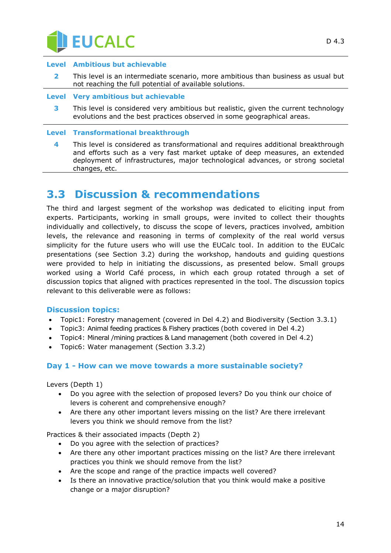

#### **Level Ambitious but achievable**

- **2** This level is an intermediate scenario, more ambitious than business as usual but not reaching the full potential of available solutions.
- **Level Very ambitious but achievable**
	- **3** This level is considered very ambitious but realistic, given the current technology evolutions and the best practices observed in some geographical areas.

#### **Level Transformational breakthrough**

**4** This level is considered as transformational and requires additional breakthrough and efforts such as a very fast market uptake of deep measures, an extended deployment of infrastructures, major technological advances, or strong societal changes, etc.

## <span id="page-13-0"></span>**3.3 Discussion & recommendations**

The third and largest segment of the workshop was dedicated to eliciting input from experts. Participants, working in small groups, were invited to collect their thoughts individually and collectively, to discuss the scope of levers, practices involved, ambition levels, the relevance and reasoning in terms of complexity of the real world versus simplicity for the future users who will use the EUCalc tool. In addition to the EUCalc presentations (see Section 3.2) during the workshop, handouts and guiding questions were provided to help in initiating the discussions, as presented below. Small groups worked using a World Café process, in which each group rotated through a set of discussion topics that aligned with practices represented in the tool. The discussion topics relevant to this deliverable were as follows:

#### **Discussion topics:**

- Topic1: Forestry management (covered in Del 4.2) and Biodiversity (Section 3.3.1)
- Topic3: Animal feeding practices & Fishery practices (both covered in Del 4.2)
- Topic4: Mineral /mining practices & Land management (both covered in Del 4.2)
- Topic6: Water management (Section 3.3.2)

#### **Day 1 - How can we move towards a more sustainable society?**

Levers (Depth 1)

- Do you agree with the selection of proposed levers? Do you think our choice of levers is coherent and comprehensive enough?
- Are there any other important levers missing on the list? Are there irrelevant levers you think we should remove from the list?

Practices & their associated impacts (Depth 2)

- Do you agree with the selection of practices?
- Are there any other important practices missing on the list? Are there irrelevant practices you think we should remove from the list?
- Are the scope and range of the practice impacts well covered?
- Is there an innovative practice/solution that you think would make a positive change or a major disruption?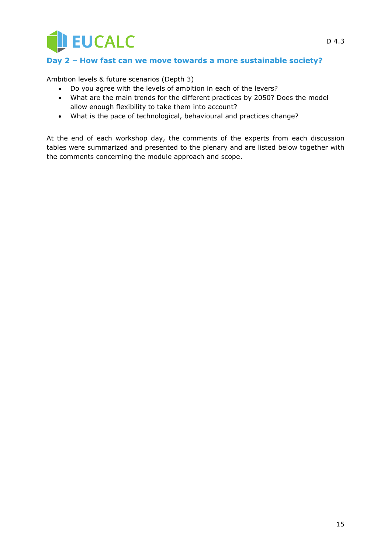

#### **Day 2 – How fast can we move towards a more sustainable society?**

Ambition levels & future scenarios (Depth 3)

- Do you agree with the levels of ambition in each of the levers?
- What are the main trends for the different practices by 2050? Does the model allow enough flexibility to take them into account?
- What is the pace of technological, behavioural and practices change?

At the end of each workshop day, the comments of the experts from each discussion tables were summarized and presented to the plenary and are listed below together with the comments concerning the module approach and scope.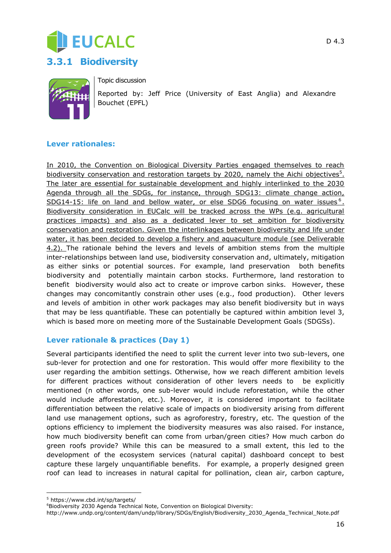



<span id="page-15-0"></span>

Topic discussion

Reported by: Jeff Price (University of East Anglia) and Alexandre Bouchet (EPFL)

#### **Lever rationales:**

In 2010, the Convention on Biological Diversity Parties engaged themselves to reach biodiversity conservation and restoration targets by 2020, namely the Aichi objectives<sup>5</sup>. The later are essential for sustainable development and highly interlinked to the 2030 Agenda through all the SDGs, for instance, through SDG13: climate change action, SDG14-15: life on land and bellow water, or else SDG6 focusing on water issues<sup>6</sup>. Biodiversity consideration in EUCalc will be tracked across the WPs (e.g. agricultural practices impacts) and also as a dedicated lever to set ambition for biodiversity conservation and restoration. Given the interlinkages between biodiversity and life under water, it has been decided to develop a fishery and aquaculture module (see Deliverable 4.2). The rationale behind the levers and levels of ambition stems from the multiple inter-relationships between land use, biodiversity conservation and, ultimately, mitigation as either sinks or potential sources. For example, land preservation both benefits biodiversity and potentially maintain carbon stocks. Furthermore, land restoration to benefit biodiversity would also act to create or improve carbon sinks. However, these changes may concomitantly constrain other uses (e.g., food production). Other levers and levels of ambition in other work packages may also benefit biodiversity but in ways that may be less quantifiable. These can potentially be captured within ambition level 3, which is based more on meeting more of the Sustainable Development Goals (SDGSs).

#### **Lever rationale & practices (Day 1)**

Several participants identified the need to split the current lever into two sub-levers, one sub-lever for protection and one for restoration. This would offer more flexibility to the user regarding the ambition settings. Otherwise, how we reach different ambition levels for different practices without consideration of other levers needs to be explicitly mentioned (n other words, one sub-lever would include reforestation, while the other would include afforestation, etc.). Moreover, it is considered important to facilitate differentiation between the relative scale of impacts on biodiversity arising from different land use management options, such as agroforestry, forestry, etc. The question of the options efficiency to implement the biodiversity measures was also raised. For instance, how much biodiversity benefit can come from urban/green cities? How much carbon do green roofs provide? While this can be measured to a small extent, this led to the development of the ecosystem services (natural capital) dashboard concept to best capture these largely unquantifiable benefits. For example, a properly designed green roof can lead to increases in natural capital for pollination, clean air, carbon capture,

http://www.undp.org/content/dam/undp/library/SDGs/English/Biodiversity\_2030\_Agenda\_Technical\_Note.pdf

j <sup>5</sup> https://www.cbd.int/sp/targets/

<sup>&</sup>lt;sup>6</sup>Biodiversity 2030 Agenda Technical Note, Convention on Biological Diversity: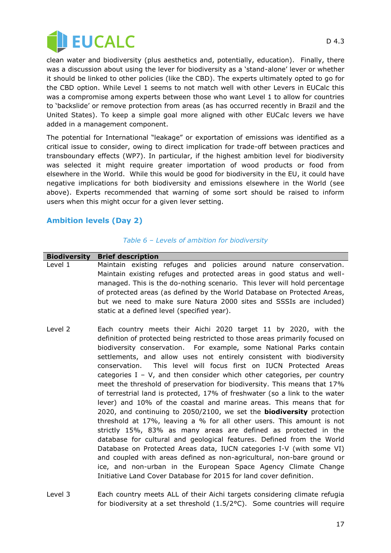

clean water and biodiversity (plus aesthetics and, potentially, education). Finally, there was a discussion about using the lever for biodiversity as a "stand-alone" lever or whether it should be linked to other policies (like the CBD). The experts ultimately opted to go for the CBD option. While Level 1 seems to not match well with other Levers in EUCalc this was a compromise among experts between those who want Level 1 to allow for countries to "backslide" or remove protection from areas (as has occurred recently in Brazil and the United States). To keep a simple goal more aligned with other EUCalc levers we have added in a management component.

The potential for International "leakage" or exportation of emissions was identified as a critical issue to consider, owing to direct implication for trade-off between practices and transboundary effects (WP7). In particular, if the highest ambition level for biodiversity was selected it might require greater importation of wood products or food from elsewhere in the World. While this would be good for biodiversity in the EU, it could have negative implications for both biodiversity and emissions elsewhere in the World (see above). Experts recommended that warning of some sort should be raised to inform users when this might occur for a given lever setting.

#### **Ambition levels (Day 2)**

#### *Table 6 – Levels of ambition for biodiversity*

| <b>Biodiversity</b> | <b>Brief description</b>                                                                                                                                                                                                                                                                                                                                                                                                                                                                                                                                                                                                                                                                                                                                                                                                                                                                                                                                                                                                                                              |
|---------------------|-----------------------------------------------------------------------------------------------------------------------------------------------------------------------------------------------------------------------------------------------------------------------------------------------------------------------------------------------------------------------------------------------------------------------------------------------------------------------------------------------------------------------------------------------------------------------------------------------------------------------------------------------------------------------------------------------------------------------------------------------------------------------------------------------------------------------------------------------------------------------------------------------------------------------------------------------------------------------------------------------------------------------------------------------------------------------|
| Level 1             | Maintain existing refuges and policies around nature conservation.<br>Maintain existing refuges and protected areas in good status and well-<br>managed. This is the do-nothing scenario. This lever will hold percentage<br>of protected areas (as defined by the World Database on Protected Areas,<br>but we need to make sure Natura 2000 sites and SSSIs are included)<br>static at a defined level (specified year).                                                                                                                                                                                                                                                                                                                                                                                                                                                                                                                                                                                                                                            |
| Level 2             | Each country meets their Aichi 2020 target 11 by 2020, with the<br>definition of protected being restricted to those areas primarily focused on<br>biodiversity conservation. For example, some National Parks contain<br>settlements, and allow uses not entirely consistent with biodiversity<br>This level will focus first on IUCN Protected Areas<br>conservation.<br>categories $I - V$ , and then consider which other categories, per country<br>meet the threshold of preservation for biodiversity. This means that 17%<br>of terrestrial land is protected, 17% of freshwater (so a link to the water<br>lever) and 10% of the coastal and marine areas. This means that for<br>2020, and continuing to 2050/2100, we set the <b>biodiversity</b> protection<br>threshold at 17%, leaving a % for all other users. This amount is not<br>strictly 15%, 83% as many areas are defined as protected in the<br>database for cultural and geological features. Defined from the World<br>Database en Dretested Areas data. ILICN sategories I V (with seme VI) |

Database on Protected Areas data, IUCN categories I-V (with some VI) and coupled with areas defined as non-agricultural, non-bare ground or ice, and non-urban in the European Space Agency Climate Change Initiative Land Cover Database for 2015 for land cover definition.

Level 3 Each country meets ALL of their Aichi targets considering climate refugia for biodiversity at a set threshold (1.5/2°C). Some countries will require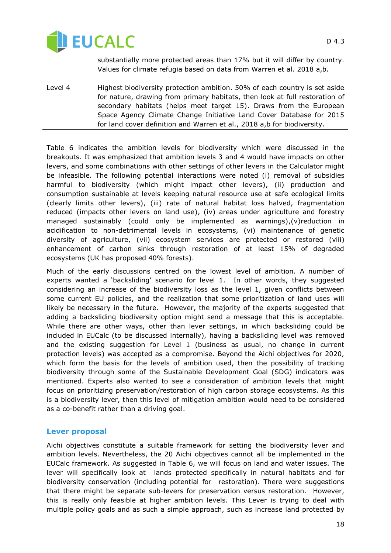

substantially more protected areas than 17% but it will differ by country. Values for climate refugia based on data from Warren et al. 2018 a,b.

Level 4 Highest biodiversity protection ambition. 50% of each country is set aside for nature, drawing from primary habitats, then look at full restoration of secondary habitats (helps meet target 15). Draws from the European Space Agency Climate Change Initiative Land Cover Database for 2015 for land cover definition and Warren et al., 2018 a,b for biodiversity.

Table 6 indicates the ambition levels for biodiversity which were discussed in the breakouts. It was emphasized that ambition levels 3 and 4 would have impacts on other levers, and some combinations with other settings of other levers in the Calculator might be infeasible. The following potential interactions were noted (i) removal of subsidies harmful to biodiversity (which might impact other levers), (ii) production and consumption sustainable at levels keeping natural resource use at safe ecological limits (clearly limits other levers), (iii) rate of natural habitat loss halved, fragmentation reduced (impacts other levers on land use), (iv) areas under agriculture and forestry managed sustainably (could only be implemented as warnings),(v)reduction in acidification to non-detrimental levels in ecosystems, (vi) maintenance of genetic diversity of agriculture, (vii) ecosystem services are protected or restored (viii) enhancement of carbon sinks through restoration of at least 15% of degraded ecosystems (UK has proposed 40% forests).

Much of the early discussions centred on the lowest level of ambition. A number of experts wanted a "backsliding" scenario for level 1. In other words, they suggested considering an increase of the biodiversity loss as the level 1, given conflicts between some current EU policies, and the realization that some prioritization of land uses will likely be necessary in the future. However, the majority of the experts suggested that adding a backsliding biodiversity option might send a message that this is acceptable. While there are other ways, other than lever settings, in which backsliding could be included in EUCalc (to be discussed internally), having a backsliding level was removed and the existing suggestion for Level 1 (business as usual, no change in current protection levels) was accepted as a compromise. Beyond the Aichi objectives for 2020, which form the basis for the levels of ambition used, then the possibility of tracking biodiversity through some of the Sustainable Development Goal (SDG) indicators was mentioned. Experts also wanted to see a consideration of ambition levels that might focus on prioritizing preservation/restoration of high carbon storage ecosystems. As this is a biodiversity lever, then this level of mitigation ambition would need to be considered as a co-benefit rather than a driving goal.

#### **Lever proposal**

Aichi objectives constitute a suitable framework for setting the biodiversity lever and ambition levels. Nevertheless, the 20 Aichi objectives cannot all be implemented in the EUCalc framework. As suggested in Table 6, we will focus on land and water issues. The lever will specifically look at lands protected specifically in natural habitats and for biodiversity conservation (including potential for restoration). There were suggestions that there might be separate sub-levers for preservation versus restoration. However, this is really only feasible at higher ambition levels. This Lever is trying to deal with multiple policy goals and as such a simple approach, such as increase land protected by

D 4.3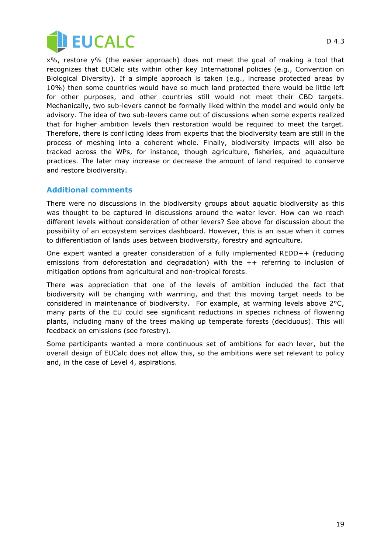

x%, restore y% (the easier approach) does not meet the goal of making a tool that recognizes that EUCalc sits within other key International policies (e.g., Convention on Biological Diversity). If a simple approach is taken (e.g., increase protected areas by 10%) then some countries would have so much land protected there would be little left for other purposes, and other countries still would not meet their CBD targets. Mechanically, two sub-levers cannot be formally liked within the model and would only be advisory. The idea of two sub-levers came out of discussions when some experts realized that for higher ambition levels then restoration would be required to meet the target. Therefore, there is conflicting ideas from experts that the biodiversity team are still in the process of meshing into a coherent whole. Finally, biodiversity impacts will also be tracked across the WPs, for instance, though agriculture, fisheries, and aquaculture practices. The later may increase or decrease the amount of land required to conserve and restore biodiversity.

#### **Additional comments**

There were no discussions in the biodiversity groups about aquatic biodiversity as this was thought to be captured in discussions around the water lever. How can we reach different levels without consideration of other levers? See above for discussion about the possibility of an ecosystem services dashboard. However, this is an issue when it comes to differentiation of lands uses between biodiversity, forestry and agriculture.

One expert wanted a greater consideration of a fully implemented REDD++ (reducing emissions from deforestation and degradation) with the ++ referring to inclusion of mitigation options from agricultural and non-tropical forests.

There was appreciation that one of the levels of ambition included the fact that biodiversity will be changing with warming, and that this moving target needs to be considered in maintenance of biodiversity. For example, at warming levels above 2°C, many parts of the EU could see significant reductions in species richness of flowering plants, including many of the trees making up temperate forests (deciduous). This will feedback on emissions (see forestry).

Some participants wanted a more continuous set of ambitions for each lever, but the overall design of EUCalc does not allow this, so the ambitions were set relevant to policy and, in the case of Level 4, aspirations.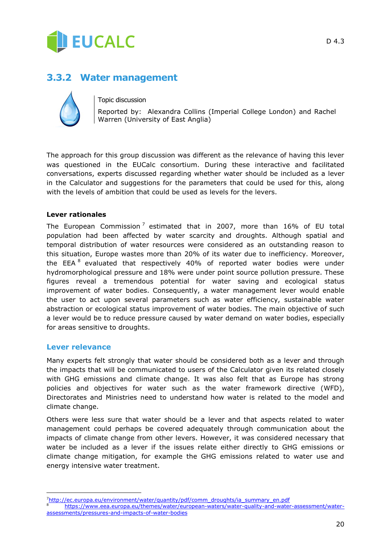

### <span id="page-19-0"></span>**3.3.2 Water management**



#### Topic discussion

Reported by: Alexandra Collins (Imperial College London) and Rachel Warren (University of East Anglia)

The approach for this group discussion was different as the relevance of having this lever was questioned in the EUCalc consortium. During these interactive and facilitated conversations, experts discussed regarding whether water should be included as a lever in the Calculator and suggestions for the parameters that could be used for this, along with the levels of ambition that could be used as levels for the levers.

#### **Lever rationales**

The European Commission<sup>7</sup> estimated that in 2007, more than 16% of EU total population had been affected by water scarcity and droughts. Although spatial and temporal distribution of water resources were considered as an outstanding reason to this situation, Europe wastes more than 20% of its water due to inefficiency. Moreover, the EEA<sup>8</sup> evaluated that respectively 40% of reported water bodies were under hydromorphological pressure and 18% were under point source pollution pressure. These figures reveal a tremendous potential for water saving and ecological status improvement of water bodies. Consequently, a water management lever would enable the user to act upon several parameters such as water efficiency, sustainable water abstraction or ecological status improvement of water bodies. The main objective of such a lever would be to reduce pressure caused by water demand on water bodies, especially for areas sensitive to droughts.

#### **Lever relevance**

j

Many experts felt strongly that water should be considered both as a lever and through the impacts that will be communicated to users of the Calculator given its related closely with GHG emissions and climate change. It was also felt that as Europe has strong policies and objectives for water such as the water framework directive (WFD), Directorates and Ministries need to understand how water is related to the model and climate change.

Others were less sure that water should be a lever and that aspects related to water management could perhaps be covered adequately through communication about the impacts of climate change from other levers. However, it was considered necessary that water be included as a lever if the issues relate either directly to GHG emissions or climate change mitigation, for example the GHG emissions related to water use and energy intensive water treatment.

<sup>7</sup>[http://ec.europa.eu/environment/water/quantity/pdf/comm\\_droughts/ia\\_summary\\_en.pdf](http://ec.europa.eu/environment/water/quantity/pdf/comm_droughts/ia_summary_en.pdf) <sup>8</sup> [https://www.eea.europa.eu/themes/water/european-waters/water-quality-and-water-assessment/water](https://www.eea.europa.eu/themes/water/european-waters/water-quality-and-water-assessment/water-assessments/pressures-and-impacts-of-water-bodies)[assessments/pressures-and-impacts-of-water-bodies](https://www.eea.europa.eu/themes/water/european-waters/water-quality-and-water-assessment/water-assessments/pressures-and-impacts-of-water-bodies)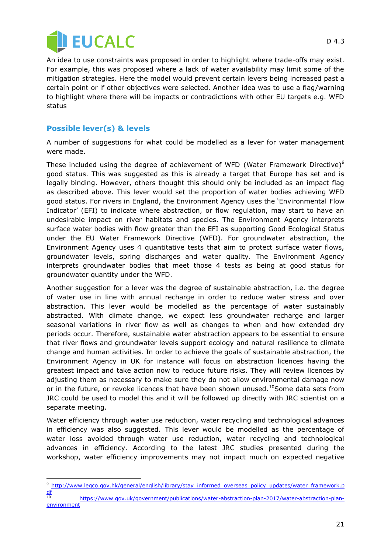

An idea to use constraints was proposed in order to highlight where trade-offs may exist. For example, this was proposed where a lack of water availability may limit some of the mitigation strategies. Here the model would prevent certain levers being increased past a certain point or if other objectives were selected. Another idea was to use a flag/warning to highlight where there will be impacts or contradictions with other EU targets e.g. WFD status

#### **Possible lever(s) & levels**

-

A number of suggestions for what could be modelled as a lever for water management were made.

These included using the degree of achievement of WFD (Water Framework Directive) $9$ good status. This was suggested as this is already a target that Europe has set and is legally binding. However, others thought this should only be included as an impact flag as described above. This lever would set the proportion of water bodies achieving WFD good status. For rivers in England, the Environment Agency uses the "Environmental Flow Indicator" (EFI) to indicate where abstraction, or flow regulation, may start to have an undesirable impact on river habitats and species. The Environment Agency interprets surface water bodies with flow greater than the EFI as supporting Good Ecological Status under the EU Water Framework Directive (WFD). For groundwater abstraction, the Environment Agency uses 4 quantitative tests that aim to protect surface water flows, groundwater levels, spring discharges and water quality. The Environment Agency interprets groundwater bodies that meet those 4 tests as being at good status for groundwater quantity under the WFD.

Another suggestion for a lever was the degree of sustainable abstraction, i.e. the degree of water use in line with annual recharge in order to reduce water stress and over abstraction. This lever would be modelled as the percentage of water sustainably abstracted. With climate change, we expect less groundwater recharge and larger seasonal variations in river flow as well as changes to when and how extended dry periods occur. Therefore, sustainable water abstraction appears to be essential to ensure that river flows and groundwater levels support ecology and natural resilience to climate change and human activities. In order to achieve the goals of sustainable abstraction, the Environment Agency in UK for instance will focus on abstraction licences having the greatest impact and take action now to reduce future risks. They will review licences by adjusting them as necessary to make sure they do not allow environmental damage now or in the future, or revoke licences that have been shown unused.<sup>10</sup>Some data sets from JRC could be used to model this and it will be followed up directly with JRC scientist on a separate meeting.

Water efficiency through water use reduction, water recycling and technological advances in efficiency was also suggested. This lever would be modelled as the percentage of water loss avoided through water use reduction, water recycling and technological advances in efficiency. According to the latest JRC studies presented during the workshop, water efficiency improvements may not impact much on expected negative

<sup>9</sup> [http://www.legco.gov.hk/general/english/library/stay\\_informed\\_overseas\\_policy\\_updates/water\\_framework.p](http://www.legco.gov.hk/general/english/library/stay_informed_overseas_policy_updates/water_framework.pdf)  $\frac{df}{10}$  $\frac{df}{10}$  $\frac{df}{10}$ 

<sup>10</sup> [https://www.gov.uk/government/publications/water-abstraction-plan-2017/water-abstraction-plan](https://www.gov.uk/government/publications/water-abstraction-plan-2017/water-abstraction-plan-environment)[environment](https://www.gov.uk/government/publications/water-abstraction-plan-2017/water-abstraction-plan-environment)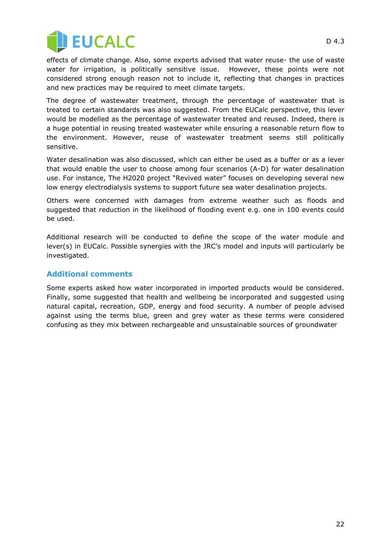

effects of climate change. Also, some experts advised that water reuse- the use of waste water for irrigation, is politically sensitive issue. However, these points were not considered strong enough reason not to include it, reflecting that changes in practices and new practices may be required to meet climate targets.

The degree of wastewater treatment, through the percentage of wastewater that is treated to certain standards was also suggested. From the EUCalc perspective, this lever would be modelled as the percentage of wastewater treated and reused. Indeed, there is a huge potential in reusing treated wastewater while ensuring a reasonable return flow to the environment. However, reuse of wastewater treatment seems still politically sensitive.

Water desalination was also discussed, which can either be used as a buffer or as a lever that would enable the user to choose among four scenarios (A-D) for water desalination use. For instance, The H2020 project "Revived water" focuses on developing several new low energy electrodialysis systems to support future sea water desalination projects.

Others were concerned with damages from extreme weather such as floods and suggested that reduction in the likelihood of flooding event e.g. one in 100 events could be used.

Additional research will be conducted to define the scope of the water module and lever(s) in EUCalc. Possible synergies with the JRC"s model and inputs will particularly be investigated.

#### **Additional comments**

Some experts asked how water incorporated in imported products would be considered. Finally, some suggested that health and wellbeing be incorporated and suggested using natural capital, recreation, GDP, energy and food security. A number of people advised against using the terms blue, green and grey water as these terms were considered confusing as they mix between rechargeable and unsustainable sources of groundwater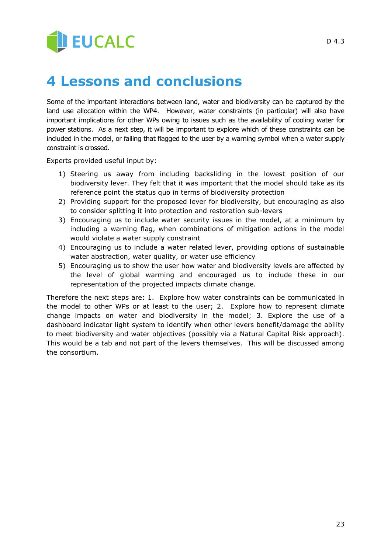# **JEUCALC**

# <span id="page-22-0"></span>**4 Lessons and conclusions**

Some of the important interactions between land, water and biodiversity can be captured by the land use allocation within the WP4. However, water constraints (in particular) will also have important implications for other WPs owing to issues such as the availability of cooling water for power stations. As a next step, it will be important to explore which of these constraints can be included in the model, or failing that flagged to the user by a warning symbol when a water supply constraint is crossed.

Experts provided useful input by:

- 1) Steering us away from including backsliding in the lowest position of our biodiversity lever. They felt that it was important that the model should take as its reference point the status quo in terms of biodiversity protection
- 2) Providing support for the proposed lever for biodiversity, but encouraging as also to consider splitting it into protection and restoration sub-levers
- 3) Encouraging us to include water security issues in the model, at a minimum by including a warning flag, when combinations of mitigation actions in the model would violate a water supply constraint
- 4) Encouraging us to include a water related lever, providing options of sustainable water abstraction, water quality, or water use efficiency
- 5) Encouraging us to show the user how water and biodiversity levels are affected by the level of global warming and encouraged us to include these in our representation of the projected impacts climate change.

Therefore the next steps are: 1. Explore how water constraints can be communicated in the model to other WPs or at least to the user; 2. Explore how to represent climate change impacts on water and biodiversity in the model; 3. Explore the use of a dashboard indicator light system to identify when other levers benefit/damage the ability to meet biodiversity and water objectives (possibly via a Natural Capital Risk approach). This would be a tab and not part of the levers themselves. This will be discussed among the consortium.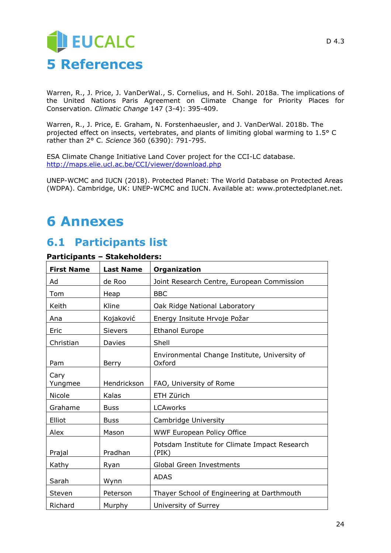<span id="page-23-0"></span>Warren, R., J. Price, J. VanDerWal., S. Cornelius, and H. Sohl. 2018a. The implications of the United Nations Paris Agreement on Climate Change for Priority Places for Conservation. *Climatic Change* 147 (3-4): 395-409.

Warren, R., J. Price, E. Graham, N. Forstenhaeusler, and J. VanDerWal. 2018b. The projected effect on insects, vertebrates, and plants of limiting global warming to 1.5° C rather than 2° C. *Science* 360 (6390): 791-795.

ESA Climate Change Initiative Land Cover project for the CCI-LC database. <http://maps.elie.ucl.ac.be/CCI/viewer/download.php>

UNEP-WCMC and IUCN (2018). Protected Planet: The World Database on Protected Areas (WDPA). Cambridge, UK: UNEP-WCMC and IUCN. Available at: www.protectedplanet.net.

# <span id="page-23-1"></span>**6 Annexes**

## <span id="page-23-2"></span>**6.1 Participants list**

| <b>First Name</b> | <b>Last Name</b> | Organization                                            |
|-------------------|------------------|---------------------------------------------------------|
| Ad                | de Roo           | Joint Research Centre, European Commission              |
| Tom               | Heap             | <b>BBC</b>                                              |
| Keith             | Kline            | Oak Ridge National Laboratory                           |
| Ana               | Kojaković        | Energy Insitute Hrvoje Požar                            |
| Eric              | <b>Sievers</b>   | <b>Ethanol Europe</b>                                   |
| Christian         | Davies           | Shell                                                   |
| Pam               | Berry            | Environmental Change Institute, University of<br>Oxford |
| Cary<br>Yungmee   | Hendrickson      | FAO, University of Rome                                 |
| Nicole            | Kalas            | ETH Zürich                                              |
| Grahame           | <b>Buss</b>      | <b>LCAworks</b>                                         |
| Elliot            | <b>Buss</b>      | Cambridge University                                    |
| Alex              | Mason            | <b>WWF European Policy Office</b>                       |
| Prajal            | Pradhan          | Potsdam Institute for Climate Impact Research<br>(PIK)  |
| Kathy             | Ryan             | <b>Global Green Investments</b>                         |
| Sarah             | Wynn             | <b>ADAS</b>                                             |
| Steven            | Peterson         | Thayer School of Engineering at Darthmouth              |
| Richard           | Murphy           | University of Surrey                                    |

#### **Participants – Stakeholders:**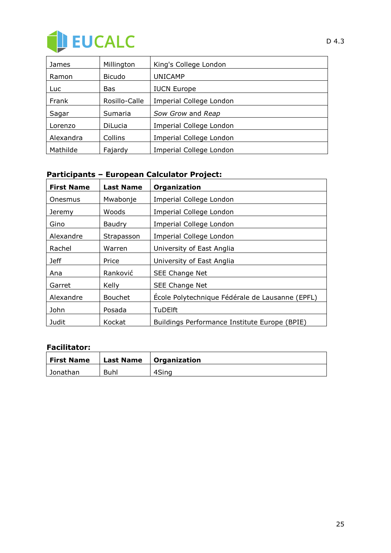

| James     | Millington     | King's College London          |
|-----------|----------------|--------------------------------|
| Ramon     | <b>Bicudo</b>  | <b>UNICAMP</b>                 |
| Luc.      | <b>Bas</b>     | <b>IUCN Europe</b>             |
| Frank     | Rosillo-Calle  | Imperial College London        |
| Sagar     | Sumaria        | Sow Grow and Reap              |
| Lorenzo   | <b>DiLucia</b> | <b>Imperial College London</b> |
| Alexandra | Collins        | <b>Imperial College London</b> |
| Mathilde  | Fajardy        | <b>Imperial College London</b> |

### **Participants – European Calculator Project:**

| <b>First Name</b> | <b>Last Name</b> | Organization                                    |
|-------------------|------------------|-------------------------------------------------|
| Onesmus           | Mwabonje         | <b>Imperial College London</b>                  |
| Jeremy            | Woods            | <b>Imperial College London</b>                  |
| Gino              | <b>Baudry</b>    | Imperial College London                         |
| Alexandre         | Strapasson       | <b>Imperial College London</b>                  |
| Rachel            | Warren           | University of East Anglia                       |
| <b>Jeff</b>       | Price            | University of East Anglia                       |
| Ana               | Ranković         | SEE Change Net                                  |
| Garret            | Kelly            | SEE Change Net                                  |
| Alexandre         | <b>Bouchet</b>   | École Polytechnique Fédérale de Lausanne (EPFL) |
| John              | Posada           | <b>TuDElft</b>                                  |
| Judit             | Kockat           | Buildings Performance Institute Europe (BPIE)   |

#### **Facilitator:**

| <b>First Name</b> |      | Last Name   Organization |
|-------------------|------|--------------------------|
| Jonathan          | Buhl | 4Sing                    |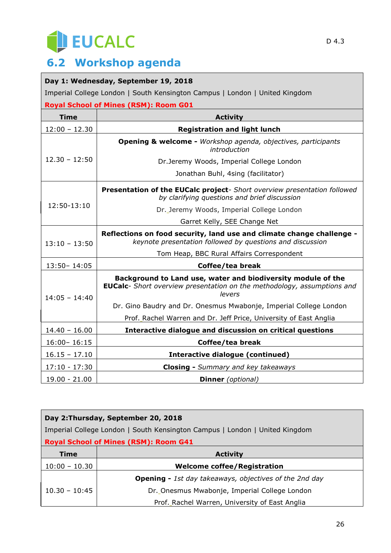# EUCALC

## <span id="page-25-0"></span>**6.2 Workshop agenda**

### **Day 1: Wednesday, September 19, 2018**

Imperial College London | South Kensington Campus | London | United Kingdom

| <b>Royal School of Mines (RSM): Room G01</b> |                                                                                                                                                          |  |
|----------------------------------------------|----------------------------------------------------------------------------------------------------------------------------------------------------------|--|
| <b>Time</b>                                  | <b>Activity</b>                                                                                                                                          |  |
| $12:00 - 12.30$                              | <b>Registration and light lunch</b>                                                                                                                      |  |
| $12.30 - 12:50$                              | Opening & welcome - Workshop agenda, objectives, participants<br>introduction                                                                            |  |
|                                              | Dr.Jeremy Woods, Imperial College London                                                                                                                 |  |
|                                              | Jonathan Buhl, 4sing (facilitator)                                                                                                                       |  |
| 12:50-13:10                                  | Presentation of the EUCalc project- Short overview presentation followed<br>by clarifying questions and brief discussion                                 |  |
|                                              | Dr. Jeremy Woods, Imperial College London                                                                                                                |  |
|                                              | Garret Kelly, SEE Change Net                                                                                                                             |  |
| $13:10 - 13:50$                              | Reflections on food security, land use and climate change challenge -<br>keynote presentation followed by questions and discussion                       |  |
|                                              | Tom Heap, BBC Rural Affairs Correspondent                                                                                                                |  |
| $13:50 - 14:05$                              | Coffee/tea break                                                                                                                                         |  |
| $14:05 - 14:40$                              | Background to Land use, water and biodiversity module of the<br><b>EUCalc-</b> Short overview presentation on the methodology, assumptions and<br>levers |  |
|                                              | Dr. Gino Baudry and Dr. Onesmus Mwabonje, Imperial College London                                                                                        |  |
|                                              | Prof. Rachel Warren and Dr. Jeff Price, University of East Anglia                                                                                        |  |
| $14.40 - 16.00$                              | Interactive dialogue and discussion on critical questions                                                                                                |  |
| $16:00 - 16:15$                              | Coffee/tea break                                                                                                                                         |  |
| $16.15 - 17.10$                              | <b>Interactive dialogue (continued)</b>                                                                                                                  |  |
| $17:10 - 17:30$                              | Closing - Summary and key takeaways                                                                                                                      |  |
| $19.00 - 21.00$                              | <b>Dinner</b> (optional)                                                                                                                                 |  |

| Day 2: Thursday, September 20, 2018                                         |                                                               |  |
|-----------------------------------------------------------------------------|---------------------------------------------------------------|--|
| Imperial College London   South Kensington Campus   London   United Kingdom |                                                               |  |
| <b>Royal School of Mines (RSM): Room G41</b>                                |                                                               |  |
| <b>Time</b>                                                                 | <b>Activity</b>                                               |  |
| $10:00 - 10.30$                                                             | <b>Welcome coffee/Registration</b>                            |  |
|                                                                             | <b>Opening -</b> 1st day takeaways, objectives of the 2nd day |  |
| $10.30 - 10:45$                                                             | Dr. Onesmus Mwabonje, Imperial College London                 |  |
|                                                                             | Prof. Rachel Warren, University of East Anglia                |  |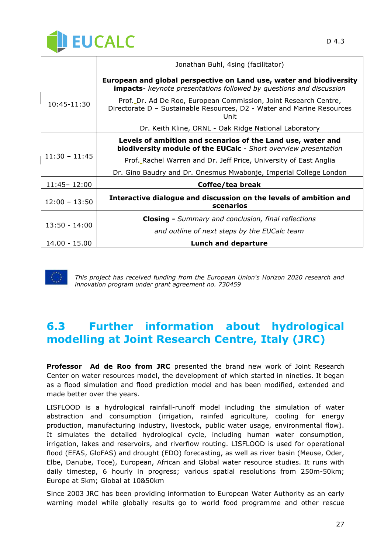

|                 | Jonathan Buhl, 4sing (facilitator)                                                                                                                 |
|-----------------|----------------------------------------------------------------------------------------------------------------------------------------------------|
| $10:45-11:30$   | European and global perspective on Land use, water and biodiversity<br><b>impacts-</b> keynote presentations followed by questions and discussion  |
|                 | Prof. Dr. Ad De Roo, European Commission, Joint Research Centre,<br>Directorate D - Sustainable Resources, D2 - Water and Marine Resources<br>Unit |
|                 | Dr. Keith Kline, ORNL - Oak Ridge National Laboratory                                                                                              |
| $11:30 - 11:45$ | Levels of ambition and scenarios of the Land use, water and<br>biodiversity module of the EUCalc - Short overview presentation                     |
|                 | Prof. Rachel Warren and Dr. Jeff Price, University of East Anglia                                                                                  |
|                 | Dr. Gino Baudry and Dr. Onesmus Mwabonje, Imperial College London                                                                                  |
| 11:45 - 12:00   | Coffee/tea break                                                                                                                                   |
| $12:00 - 13:50$ | Interactive dialogue and discussion on the levels of ambition and<br>scenarios                                                                     |
| $13:50 - 14:00$ | <b>Closing -</b> Summary and conclusion, final reflections                                                                                         |
|                 | and outline of next steps by the EUCalc team                                                                                                       |
| 14.00 - 15.00   | <b>Lunch and departure</b>                                                                                                                         |



*This project has received funding from the European Union's Horizon 2020 research and innovation program under grant agreement no. 730459*

## <span id="page-26-0"></span>**6.3 Further information about hydrological modelling at Joint Research Centre, Italy (JRC)**

**Professor Ad de Roo from JRC** presented the brand new work of Joint Research Center on water resources model, the development of which started in nineties. It began as a flood simulation and flood prediction model and has been modified, extended and made better over the years.

LISFLOOD is a hydrological rainfall-runoff model including the simulation of water abstraction and consumption (irrigation, rainfed agriculture, cooling for energy production, manufacturing industry, livestock, public water usage, environmental flow). It simulates the detailed hydrological cycle, including human water consumption, irrigation, lakes and reservoirs, and riverflow routing. LISFLOOD is used for operational flood (EFAS, GloFAS) and drought (EDO) forecasting, as well as river basin (Meuse, Oder, Elbe, Danube, Toce), European, African and Global water resource studies. It runs with daily timestep, 6 hourly in progress; various spatial resolutions from 250m-50km; Europe at 5km; Global at 10&50km

Since 2003 JRC has been providing information to European Water Authority as an early warning model while globally results go to world food programme and other rescue